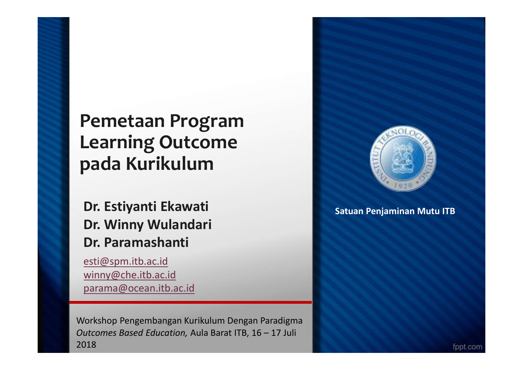#### **Pemetaan Program Learning Outcome pada Kurikulum**

#### **Dr. Estiyanti Ekawati Dr. Winny Wulandari Dr. Paramashanti**

esti@spm.itb.ac.id winny@che.itb.ac.id parama@ocean.itb.ac.id

Workshop Pengembangan Kurikulum Dengan Paradigma *Outcomes Based Education,* Aula Barat ITB, 16 – 17 Juli 2018



**Satuan Penjaminan Mutu ITB**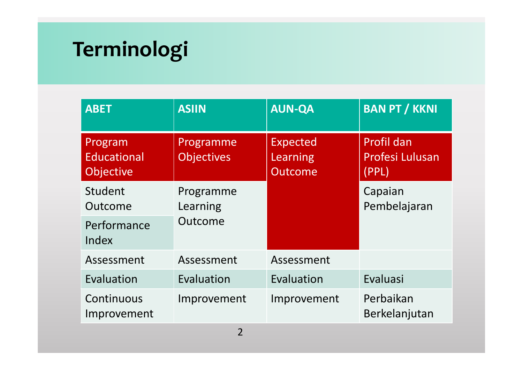# **Terminologi**

| <b>ABET</b>                                                                  | <b>ASIIN</b>          | <b>AUN-QA</b>                                 | <b>BAN PT / KKNI</b>                                 |  |
|------------------------------------------------------------------------------|-----------------------|-----------------------------------------------|------------------------------------------------------|--|
| Program<br>Programme<br><b>Educational</b><br><b>Objectives</b><br>Objective |                       | <b>Expected</b><br>Learning<br><b>Outcome</b> | <b>Profil dan</b><br><b>Profesi Lulusan</b><br>(PPL) |  |
| Student<br>Outcome                                                           | Programme<br>Learning |                                               | Capaian<br>Pembelajaran                              |  |
| Performance<br>Index                                                         | Outcome               |                                               |                                                      |  |
| Assessment                                                                   | Assessment            | Assessment                                    |                                                      |  |
| Evaluation                                                                   | Evaluation            | Evaluation                                    | Evaluasi                                             |  |
| Continuous<br>Improvement                                                    | Improvement           | Improvement                                   | Perbaikan<br>Berkelanjutan                           |  |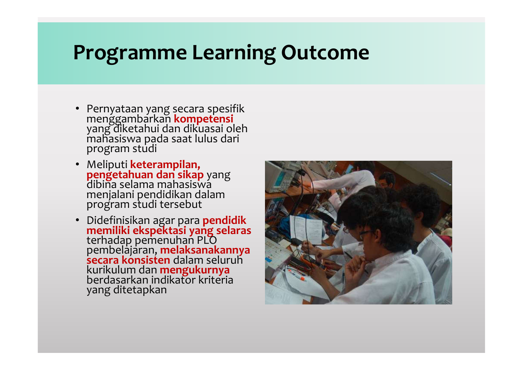### **Programme Learning Outcome**

- Pernyataan yang secara spesifik menggambarkan **kompetensi**<br>yang diketahui dan dikuasai oleh mahasiswa pada saat lulus dari program studi
- Meliputi **keterampilan,<br><mark>pengetahuan dan sikap</mark> y**ang<br>dibina selama mahasiswa menjalani pendidikan dalam program studi tersebut
- Didefinisikan agar para **pendidik memiliki ekspektasi yang selaras** terhadap pemenuhan PLO pembelajaran, **melaksanakannya secara konsisten** dalam seluruh kurikulum dan **mengukurnya** berdasarkan indikator kriteria yang ditetapkan

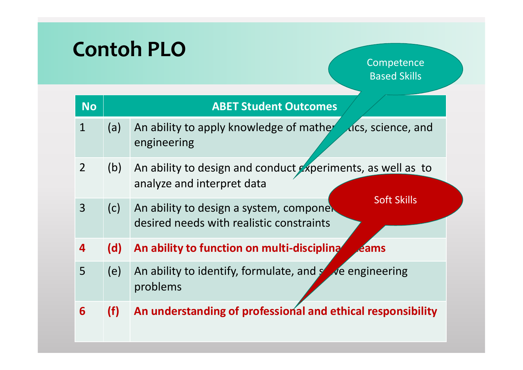# **Contoh PLO**

**Competence** Based Skills

| <b>No</b>      | <b>ABET Student Outcomes</b> |                                                                                                           |  |  |  |  |  |
|----------------|------------------------------|-----------------------------------------------------------------------------------------------------------|--|--|--|--|--|
| $\mathbf{1}$   | (a)                          | Gcs, science, and<br>An ability to apply knowledge of mather<br>engineering                               |  |  |  |  |  |
| 2 <sup>1</sup> | (b)                          | An ability to design and conduct experiments, as well as to<br>analyze and interpret data                 |  |  |  |  |  |
| 3              | (c)                          | <b>Soft Skills</b><br>An ability to design a system, componer<br>desired needs with realistic constraints |  |  |  |  |  |
| 4              | (d)                          | An ability to function on multi-discipling<br><b><i><u>Aams</u></i></b>                                   |  |  |  |  |  |
| 5              | (e)                          | An ability to identify, formulate, and solve engineering<br>problems                                      |  |  |  |  |  |
| 6              | (f)                          | An understanding of professional and ethical responsibility                                               |  |  |  |  |  |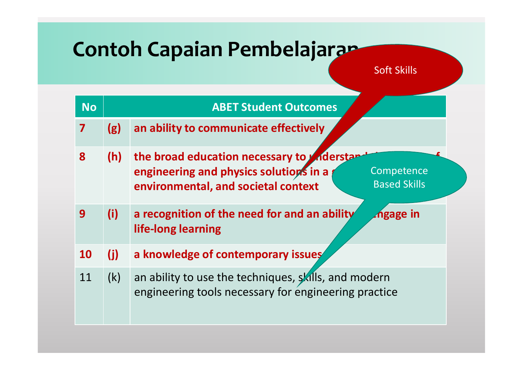## **Contoh Capaian Pembelajaran**

Soft Skills

| <b>No</b> |     | <b>ABET Student Outcomes</b>                                                                                                                                             |
|-----------|-----|--------------------------------------------------------------------------------------------------------------------------------------------------------------------------|
| 7         | (g) | an ability to communicate effectively                                                                                                                                    |
| 8         | (h) | the broad education necessary to <i>A</i> nderstan<br>engineering and physics solutions in a<br>Competence<br><b>Based Skills</b><br>environmental, and societal context |
| 9         | (i) | a recognition of the need for and an ability<br>zngage in<br>life-long learning                                                                                          |
| <b>10</b> | (i) | a knowledge of contemporary issues                                                                                                                                       |
| 11        | (k) | an ability to use the techniques, skills, and modern<br>engineering tools necessary for engineering practice                                                             |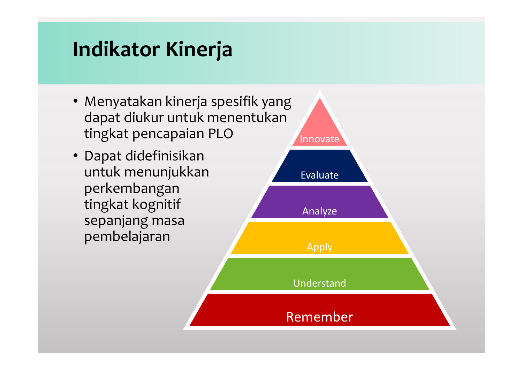## **Indikator Kinerja**

- Menyatakan kinerja spesifik yang dapat diukur untuk menentukan tingkat pencapaian PLO
- Dapat didefinisikan untuk menunjukkan perkembangan tingkat kognitif sepanjang masa pembelajaran

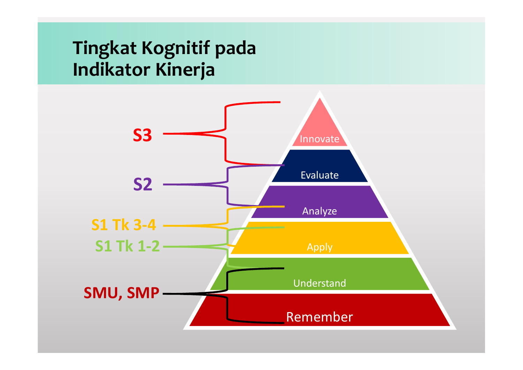#### **Tingkat Kognitif pada Indikator Kinerja**

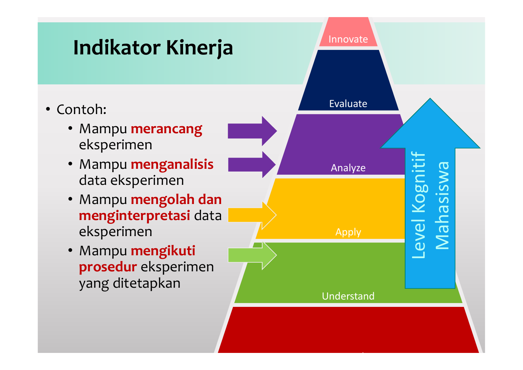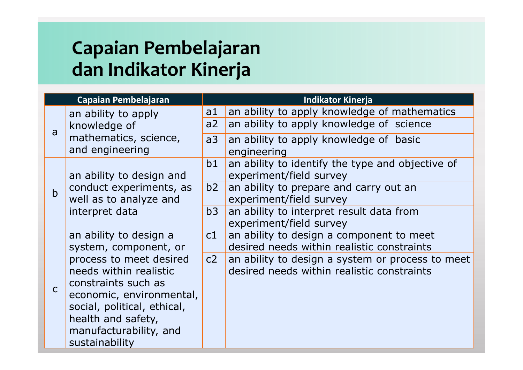#### **Capaian Pembelajaran dan Indikator Kinerja**

| Capaian Pembelajaran |                                                                                                                                                                                                                                                          | <b>Indikator Kinerja</b> |                                                                                                |  |
|----------------------|----------------------------------------------------------------------------------------------------------------------------------------------------------------------------------------------------------------------------------------------------------|--------------------------|------------------------------------------------------------------------------------------------|--|
| a                    | an ability to apply<br>knowledge of<br>mathematics, science,<br>and engineering                                                                                                                                                                          | a <sub>1</sub><br>a2     | an ability to apply knowledge of mathematics<br>an ability to apply knowledge of science       |  |
|                      |                                                                                                                                                                                                                                                          | a3                       | an ability to apply knowledge of basic<br>engineering                                          |  |
| $\mathbf b$          | an ability to design and<br>conduct experiments, as<br>well as to analyze and<br>interpret data                                                                                                                                                          | b1                       | an ability to identify the type and objective of<br>experiment/field survey                    |  |
|                      |                                                                                                                                                                                                                                                          | b2                       | an ability to prepare and carry out an<br>experiment/field survey                              |  |
|                      |                                                                                                                                                                                                                                                          | b3                       | an ability to interpret result data from<br>experiment/field survey                            |  |
| $\mathsf{C}$         | an ability to design a<br>system, component, or<br>process to meet desired<br>needs within realistic<br>constraints such as<br>economic, environmental,<br>social, political, ethical,<br>health and safety,<br>manufacturability, and<br>sustainability | c1                       | an ability to design a component to meet<br>desired needs within realistic constraints         |  |
|                      |                                                                                                                                                                                                                                                          | c2                       | an ability to design a system or process to meet<br>desired needs within realistic constraints |  |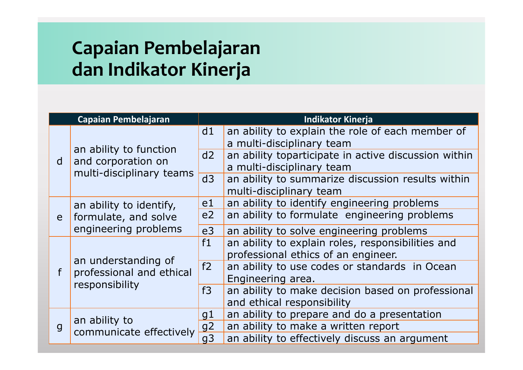#### **Capaian Pembelajaran dan Indikator Kinerja**

| Capaian Pembelajaran |                                                                          | <b>Indikator Kinerja</b> |                                                      |  |
|----------------------|--------------------------------------------------------------------------|--------------------------|------------------------------------------------------|--|
| d                    | an ability to function<br>and corporation on<br>multi-disciplinary teams | d1                       | an ability to explain the role of each member of     |  |
|                      |                                                                          |                          | a multi-disciplinary team                            |  |
|                      |                                                                          | d2                       | an ability toparticipate in active discussion within |  |
|                      |                                                                          |                          | a multi-disciplinary team                            |  |
|                      |                                                                          | d3                       | an ability to summarize discussion results within    |  |
|                      |                                                                          |                          | multi-disciplinary team                              |  |
|                      | an ability to identify,<br>formulate, and solve<br>engineering problems  | e <sub>1</sub>           | an ability to identify engineering problems          |  |
| e                    |                                                                          | e <sub>2</sub>           | an ability to formulate engineering problems         |  |
|                      |                                                                          | e <sub>3</sub>           | an ability to solve engineering problems             |  |
|                      | an understanding of<br>professional and ethical<br>responsibility        | f1                       | an ability to explain roles, responsibilities and    |  |
|                      |                                                                          |                          | professional ethics of an engineer.                  |  |
| f                    |                                                                          | f2                       | an ability to use codes or standards in Ocean        |  |
|                      |                                                                          |                          | Engineering area.                                    |  |
|                      |                                                                          | f3                       | an ability to make decision based on professional    |  |
|                      |                                                                          |                          | and ethical responsibility                           |  |
| $\mathsf{g}$         | an ability to<br>communicate effectively                                 | g1                       | an ability to prepare and do a presentation          |  |
|                      |                                                                          | g <sub>2</sub>           | an ability to make a written report                  |  |
|                      |                                                                          | q <sub>3</sub>           | an ability to effectively discuss an argument        |  |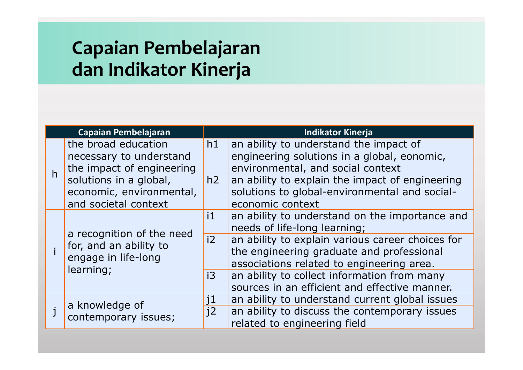#### **Capaian Pembelajaran dan Indikator Kinerja**

| Capaian Pembelajaran |                                                                                         |              | <b>Indikator Kinerja</b>                                                                                                                   |  |  |
|----------------------|-----------------------------------------------------------------------------------------|--------------|--------------------------------------------------------------------------------------------------------------------------------------------|--|--|
| h                    | the broad education<br>necessary to understand<br>the impact of engineering             |              | an ability to understand the impact of<br>engineering solutions in a global, eonomic,<br>environmental, and social context                 |  |  |
|                      | solutions in a global,<br>economic, environmental,<br>and societal context              | h2           | an ability to explain the impact of engineering<br>solutions to global-environmental and social-<br>economic context                       |  |  |
|                      | a recognition of the need<br>for, and an ability to<br>engage in life-long<br>learning; | $\mathbf{1}$ | an ability to understand on the importance and<br>needs of life-long learning;                                                             |  |  |
|                      |                                                                                         | i2           | an ability to explain various career choices for<br>the engineering graduate and professional<br>associations related to engineering area. |  |  |
|                      |                                                                                         | i3           | an ability to collect information from many<br>sources in an efficient and effective manner.                                               |  |  |
|                      | a knowledge of<br>contemporary issues;                                                  | j1           | an ability to understand current global issues                                                                                             |  |  |
|                      |                                                                                         | i2           | an ability to discuss the contemporary issues<br>related to engineering field                                                              |  |  |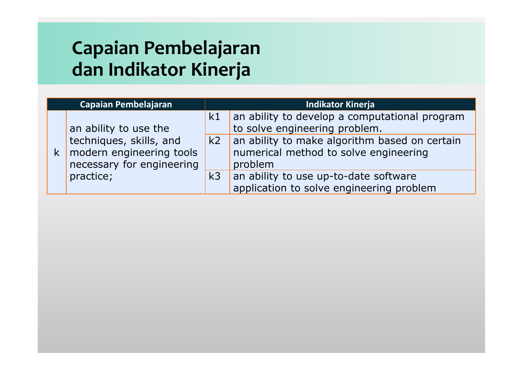#### **Capaian Pembelajaran dan Indikator Kinerja**

| Capaian Pembelajaran |                                                                                                               | <b>Indikator Kinerja</b> |                                                                                                                                                                                          |  |
|----------------------|---------------------------------------------------------------------------------------------------------------|--------------------------|------------------------------------------------------------------------------------------------------------------------------------------------------------------------------------------|--|
|                      | an ability to use the<br>techniques, skills, and<br>$k$ modern engineering tools<br>necessary for engineering | k1                       | an ability to develop a computational program<br>to solve engineering problem.<br>$k2$ an ability to make algorithm based on certain<br>numerical method to solve engineering<br>problem |  |
|                      | practice;                                                                                                     | k <sub>3</sub>           | an ability to use up-to-date software<br>application to solve engineering problem                                                                                                        |  |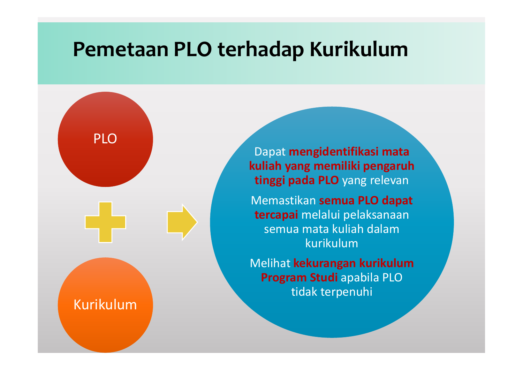#### **Pemetaan PLO terhadap Kurikulum**

Kurikulum

PLO

Dapat **mengidentifikasi mata kuliah yang memiliki pengaruh tinggi pada PLO** yang relevan

Memastikan **semua PLO dapat tercapai** melalui pelaksanaan semua mata kuliah dalam kurikulum

Melihat **kekurangan kurikulum Program Studi** apabila PLO tidak terpenuhi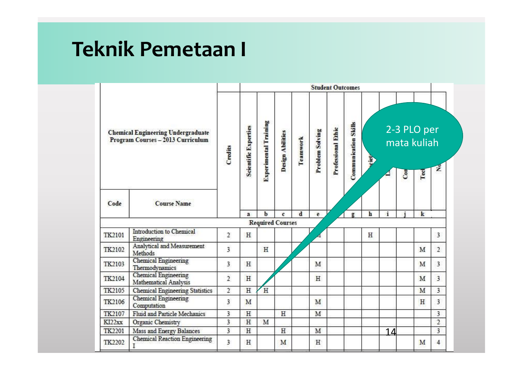#### **Teknik Pemetaan I**

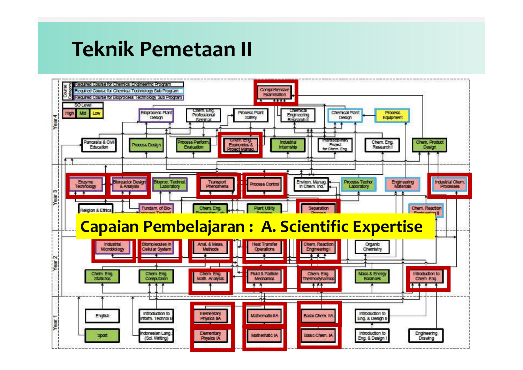#### **Teknik Pemetaan II**

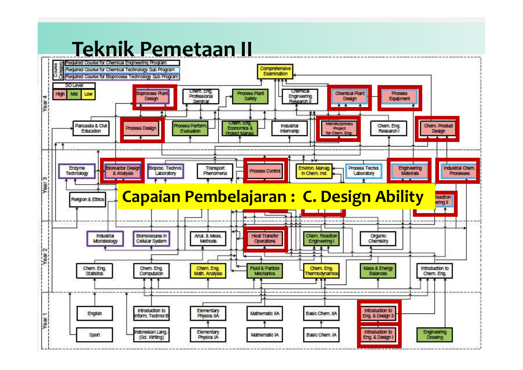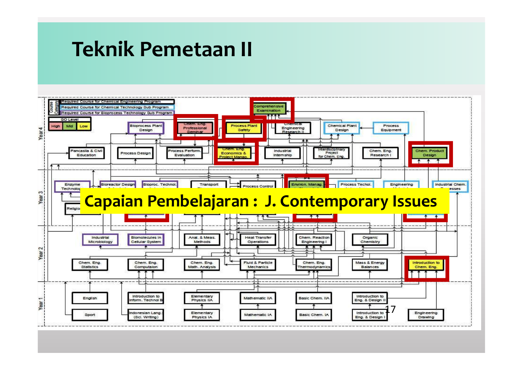#### **Teknik Pemetaan II**

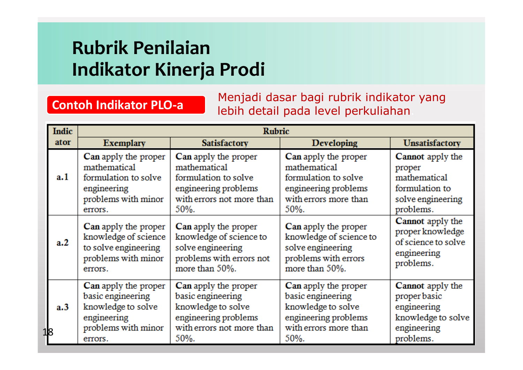#### **Rubrik Penilaian Indikator Kinerja Prodi**

#### **Contoh Indikator PLO-a** Menjadi dasar bagi rubrik indikator yang lebih detail pada level perkuliahan.

| <b>Indic</b> | Rubric                                                                                                           |                                                                                                                              |                                                                                                                          |                                                                                                          |  |  |  |  |  |
|--------------|------------------------------------------------------------------------------------------------------------------|------------------------------------------------------------------------------------------------------------------------------|--------------------------------------------------------------------------------------------------------------------------|----------------------------------------------------------------------------------------------------------|--|--|--|--|--|
| ator         | <b>Exemplary</b>                                                                                                 | <b>Satisfactory</b>                                                                                                          | Developing                                                                                                               | <b>Unsatisfactory</b>                                                                                    |  |  |  |  |  |
| a. 1         | Can apply the proper<br>mathematical<br>formulation to solve<br>engineering<br>problems with minor<br>errors.    | Can apply the proper<br>mathematical<br>formulation to solve<br>engineering problems<br>with errors not more than<br>50%.    | Can apply the proper<br>mathematical<br>formulation to solve<br>engineering problems<br>with errors more than<br>50%.    | <b>Cannot</b> apply the<br>proper<br>mathematical<br>formulation to<br>solve engineering<br>problems.    |  |  |  |  |  |
| a.2          | Can apply the proper<br>knowledge of science<br>to solve engineering<br>problems with minor<br>errors.           | Can apply the proper<br>knowledge of science to<br>solve engineering<br>problems with errors not<br>more than 50%.           | Can apply the proper<br>knowledge of science to<br>solve engineering<br>problems with errors<br>more than 50%.           | Cannot apply the<br>proper knowledge<br>of science to solve<br>engineering<br>problems.                  |  |  |  |  |  |
| a.3<br>18    | Can apply the proper<br>basic engineering<br>knowledge to solve<br>engineering<br>problems with minor<br>errors. | Can apply the proper<br>basic engineering<br>knowledge to solve<br>engineering problems<br>with errors not more than<br>50%. | Can apply the proper<br>basic engineering<br>knowledge to solve<br>engineering problems<br>with errors more than<br>50%. | <b>Cannot</b> apply the<br>proper basic<br>engineering<br>knowledge to solve<br>engineering<br>problems. |  |  |  |  |  |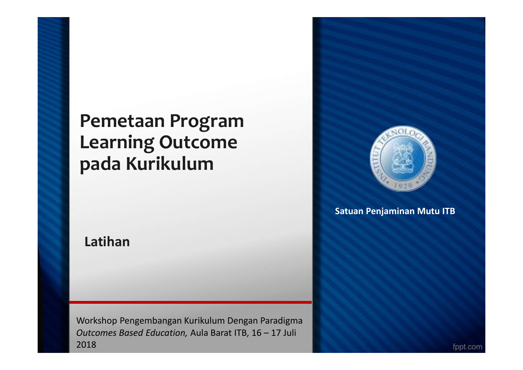#### **Pemetaan Program Learning Outcome pada Kurikulum**

**Latihan**

Workshop Pengembangan Kurikulum Dengan Paradigma *Outcomes Based Education,* Aula Barat ITB, 16 – 17 Juli 2018



**Satuan Penjaminan Mutu ITB**